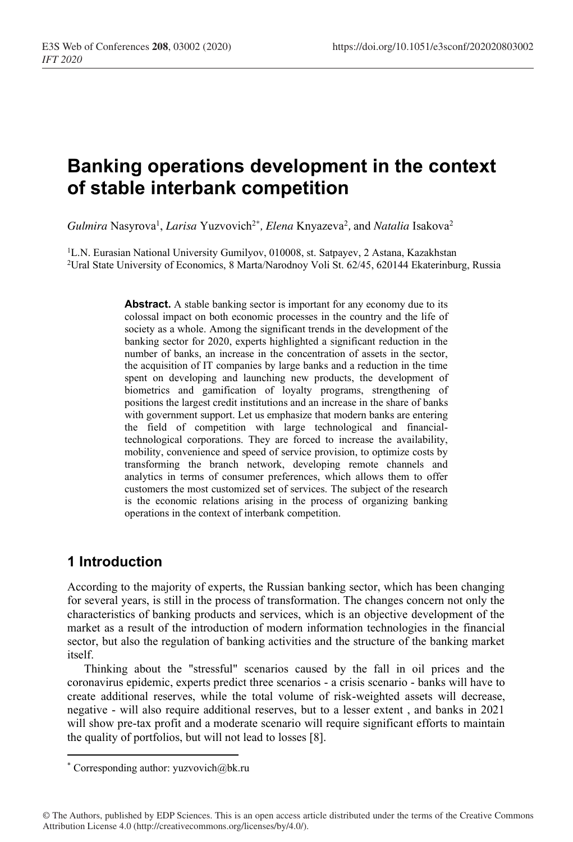# **Banking operations development in the context of stable interbank competition**

Gulmira Nasyrova<sup>1</sup>, *Larisa* Yuzvovich<sup>2\*</sup>, *Elena* Knyazeva<sup>2</sup>, and *Natalia* Isakova<sup>2</sup>

<sup>1</sup>L.N. Eurasian National University Gumilyov, 010008, st. Satpayev, 2 Astana, Kazakhstan <sup>2</sup>Ural State University of Economics, 8 Marta/Narodnoy Voli St. 62/45, 620144 Ekaterinburg, Russia

**Abstract.** A stable banking sector is important for any economy due to its colossal impact on both economic processes in the country and the life of society as a whole. Among the significant trends in the development of the banking sector for 2020, experts highlighted a significant reduction in the number of banks, an increase in the concentration of assets in the sector, the acquisition of IT companies by large banks and a reduction in the time spent on developing and launching new products, the development of biometrics and gamification of loyalty programs, strengthening of positions the largest credit institutions and an increase in the share of banks with government support. Let us emphasize that modern banks are entering the field of competition with large technological and financialtechnological corporations. They are forced to increase the availability, mobility, convenience and speed of service provision, to optimize costs by transforming the branch network, developing remote channels and analytics in terms of consumer preferences, which allows them to offer customers the most customized set of services. The subject of the research is the economic relations arising in the process of organizing banking operations in the context of interbank competition.

## **1 Introduction**

According to the majority of experts, the Russian banking sector, which has been changing for several years, is still in the process of transformation. The changes concern not only the characteristics of banking products and services, which is an objective development of the market as a result of the introduction of modern information technologies in the financial sector, but also the regulation of banking activities and the structure of the banking market itself.

Thinking about the "stressful" scenarios caused by the fall in oil prices and the coronavirus epidemic, experts predict three scenarios - a crisis scenario - banks will have to create additional reserves, while the total volume of risk-weighted assets will decrease, negative - will also require additional reserves, but to a lesser extent , and banks in 2021 will show pre-tax profit and a moderate scenario will require significant efforts to maintain the quality of portfolios, but will not lead to losses [8].

<sup>\*</sup> Corresponding author: yuzvovich@bk.ru

<sup>©</sup> The Authors, published by EDP Sciences. This is an open access article distributed under the terms of the Creative Commons Attribution License 4.0 (http://creativecommons.org/licenses/by/4.0/).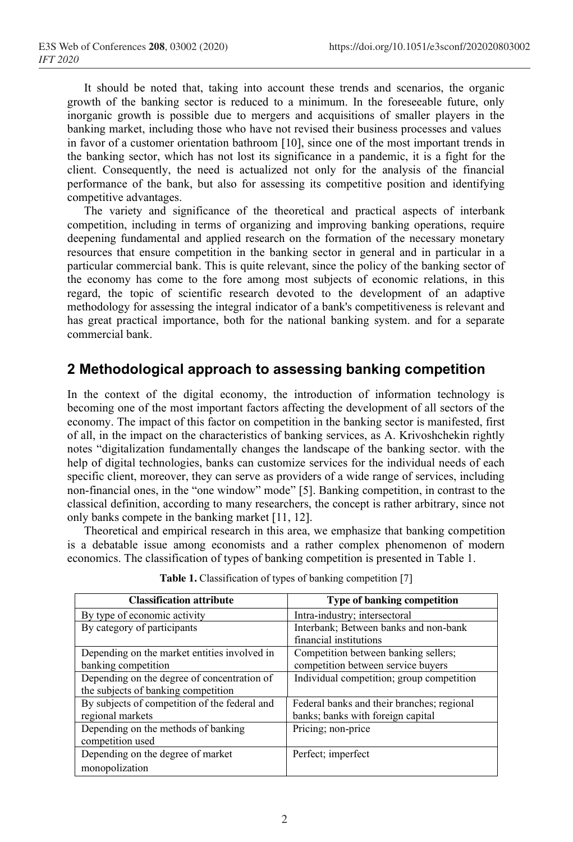It should be noted that, taking into account these trends and scenarios, the organic growth of the banking sector is reduced to a minimum. In the foreseeable future, only inorganic growth is possible due to mergers and acquisitions of smaller players in the banking market, including those who have not revised their business processes and values in favor of a customer orientation bathroom [10], since one of the most important trends in the banking sector, which has not lost its significance in a pandemic, it is a fight for the client. Consequently, the need is actualized not only for the analysis of the financial performance of the bank, but also for assessing its competitive position and identifying competitive advantages.

The variety and significance of the theoretical and practical aspects of interbank competition, including in terms of organizing and improving banking operations, require deepening fundamental and applied research on the formation of the necessary monetary resources that ensure competition in the banking sector in general and in particular in a particular commercial bank. This is quite relevant, since the policy of the banking sector of the economy has come to the fore among most subjects of economic relations, in this regard, the topic of scientific research devoted to the development of an adaptive methodology for assessing the integral indicator of a bank's competitiveness is relevant and has great practical importance, both for the national banking system. and for a separate commercial bank.

## **2 Methodological approach to assessing banking competition**

In the context of the digital economy, the introduction of information technology is becoming one of the most important factors affecting the development of all sectors of the economy. The impact of this factor on competition in the banking sector is manifested, first of all, in the impact on the characteristics of banking services, as A. Krivoshchekin rightly notes "digitalization fundamentally changes the landscape of the banking sector. with the help of digital technologies, banks can customize services for the individual needs of each specific client, moreover, they can serve as providers of a wide range of services, including non-financial ones, in the "one window" mode" [5]. Banking competition, in contrast to the classical definition, according to many researchers, the concept is rather arbitrary, since not only banks compete in the banking market [11, 12].

Theoretical and empirical research in this area, we emphasize that banking competition is a debatable issue among economists and a rather complex phenomenon of modern economics. The classification of types of banking competition is presented in Table 1.

| <b>Classification attribute</b>               | Type of banking competition                |
|-----------------------------------------------|--------------------------------------------|
| By type of economic activity                  | Intra-industry; intersectoral              |
| By category of participants                   | Interbank; Between banks and non-bank      |
|                                               | financial institutions                     |
| Depending on the market entities involved in  | Competition between banking sellers;       |
| banking competition                           | competition between service buyers         |
| Depending on the degree of concentration of   | Individual competition; group competition  |
| the subjects of banking competition           |                                            |
| By subjects of competition of the federal and | Federal banks and their branches; regional |
| regional markets                              | banks; banks with foreign capital          |
| Depending on the methods of banking           | Pricing; non-price                         |
| competition used                              |                                            |
| Depending on the degree of market             | Perfect; imperfect                         |
| monopolization                                |                                            |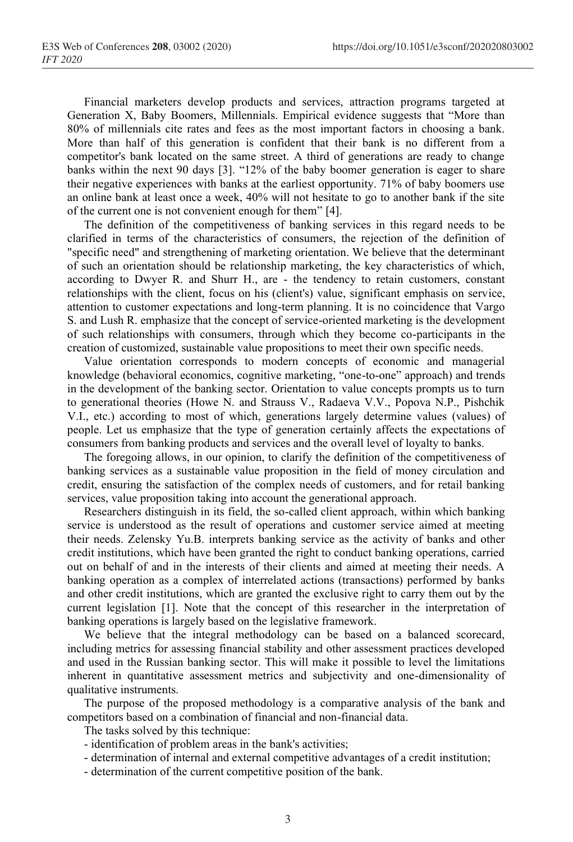Financial marketers develop products and services, attraction programs targeted at Generation X, Baby Boomers, Millennials. Empirical evidence suggests that "More than 80% of millennials cite rates and fees as the most important factors in choosing a bank. More than half of this generation is confident that their bank is no different from a competitor's bank located on the same street. A third of generations are ready to change banks within the next 90 days [3]. "12% of the baby boomer generation is eager to share their negative experiences with banks at the earliest opportunity. 71% of baby boomers use an online bank at least once a week, 40% will not hesitate to go to another bank if the site of the current one is not convenient enough for them" [4].

The definition of the competitiveness of banking services in this regard needs to be clarified in terms of the characteristics of consumers, the rejection of the definition of "specific need" and strengthening of marketing orientation. We believe that the determinant of such an orientation should be relationship marketing, the key characteristics of which, according to Dwyer R. and Shurr H., are - the tendency to retain customers, constant relationships with the client, focus on his (client's) value, significant emphasis on service, attention to customer expectations and long-term planning. It is no coincidence that Vargo S. and Lush R. emphasize that the concept of service-oriented marketing is the development of such relationships with consumers, through which they become co-participants in the creation of customized, sustainable value propositions to meet their own specific needs.

Value orientation corresponds to modern concepts of economic and managerial knowledge (behavioral economics, cognitive marketing, "one-to-one" approach) and trends in the development of the banking sector. Orientation to value concepts prompts us to turn to generational theories (Howe N. and Strauss V., Radaeva V.V., Popova N.P., Pishchik V.I., etc.) according to most of which, generations largely determine values (values) of people. Let us emphasize that the type of generation certainly affects the expectations of consumers from banking products and services and the overall level of loyalty to banks.

The foregoing allows, in our opinion, to clarify the definition of the competitiveness of banking services as a sustainable value proposition in the field of money circulation and credit, ensuring the satisfaction of the complex needs of customers, and for retail banking services, value proposition taking into account the generational approach.

Researchers distinguish in its field, the so-called client approach, within which banking service is understood as the result of operations and customer service aimed at meeting their needs. Zelensky Yu.B. interprets banking service as the activity of banks and other credit institutions, which have been granted the right to conduct banking operations, carried out on behalf of and in the interests of their clients and aimed at meeting their needs. A banking operation as a complex of interrelated actions (transactions) performed by banks and other credit institutions, which are granted the exclusive right to carry them out by the current legislation [1]. Note that the concept of this researcher in the interpretation of banking operations is largely based on the legislative framework.

We believe that the integral methodology can be based on a balanced scorecard, including metrics for assessing financial stability and other assessment practices developed and used in the Russian banking sector. This will make it possible to level the limitations inherent in quantitative assessment metrics and subjectivity and one-dimensionality of qualitative instruments.

The purpose of the proposed methodology is a comparative analysis of the bank and competitors based on a combination of financial and non-financial data.

The tasks solved by this technique:

- identification of problem areas in the bank's activities;
- determination of internal and external competitive advantages of a credit institution;
- determination of the current competitive position of the bank.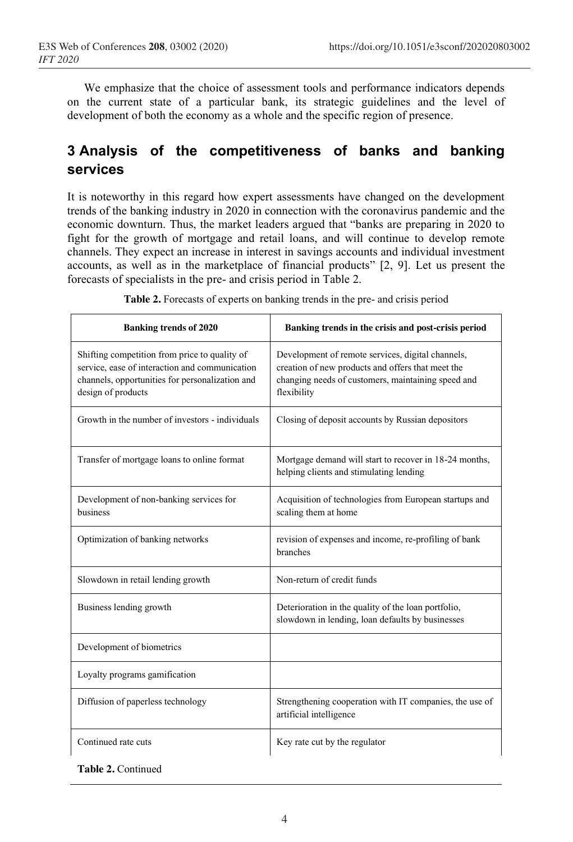We emphasize that the choice of assessment tools and performance indicators depends on the current state of a particular bank, its strategic guidelines and the level of development of both the economy as a whole and the specific region of presence.

## **3 Analysis of the competitiveness of banks and banking services**

It is noteworthy in this regard how expert assessments have changed on the development trends of the banking industry in 2020 in connection with the coronavirus pandemic and the economic downturn. Thus, the market leaders argued that "banks are preparing in 2020 to fight for the growth of mortgage and retail loans, and will continue to develop remote channels. They expect an increase in interest in savings accounts and individual investment accounts, as well as in the marketplace of financial products" [2, 9]. Let us present the forecasts of specialists in the pre- and crisis period in Table 2.

| <b>Banking trends of 2020</b>                                                                                                                                            | Banking trends in the crisis and post-crisis period                                                                                                                         |
|--------------------------------------------------------------------------------------------------------------------------------------------------------------------------|-----------------------------------------------------------------------------------------------------------------------------------------------------------------------------|
| Shifting competition from price to quality of<br>service, ease of interaction and communication<br>channels, opportunities for personalization and<br>design of products | Development of remote services, digital channels,<br>creation of new products and offers that meet the<br>changing needs of customers, maintaining speed and<br>flexibility |
| Growth in the number of investors - individuals                                                                                                                          | Closing of deposit accounts by Russian depositors                                                                                                                           |
| Transfer of mortgage loans to online format                                                                                                                              | Mortgage demand will start to recover in 18-24 months,<br>helping clients and stimulating lending                                                                           |
| Development of non-banking services for<br>business                                                                                                                      | Acquisition of technologies from European startups and<br>scaling them at home                                                                                              |
| Optimization of banking networks                                                                                                                                         | revision of expenses and income, re-profiling of bank<br>branches                                                                                                           |
| Slowdown in retail lending growth                                                                                                                                        | Non-return of credit funds                                                                                                                                                  |
| Business lending growth                                                                                                                                                  | Deterioration in the quality of the loan portfolio,<br>slowdown in lending, loan defaults by businesses                                                                     |
| Development of biometrics                                                                                                                                                |                                                                                                                                                                             |
| Loyalty programs gamification                                                                                                                                            |                                                                                                                                                                             |
| Diffusion of paperless technology                                                                                                                                        | Strengthening cooperation with IT companies, the use of<br>artificial intelligence                                                                                          |
| Continued rate cuts                                                                                                                                                      | Key rate cut by the regulator                                                                                                                                               |

**Table 2.** Forecasts of experts on banking trends in the pre- and crisis period

**Table 2.** Continued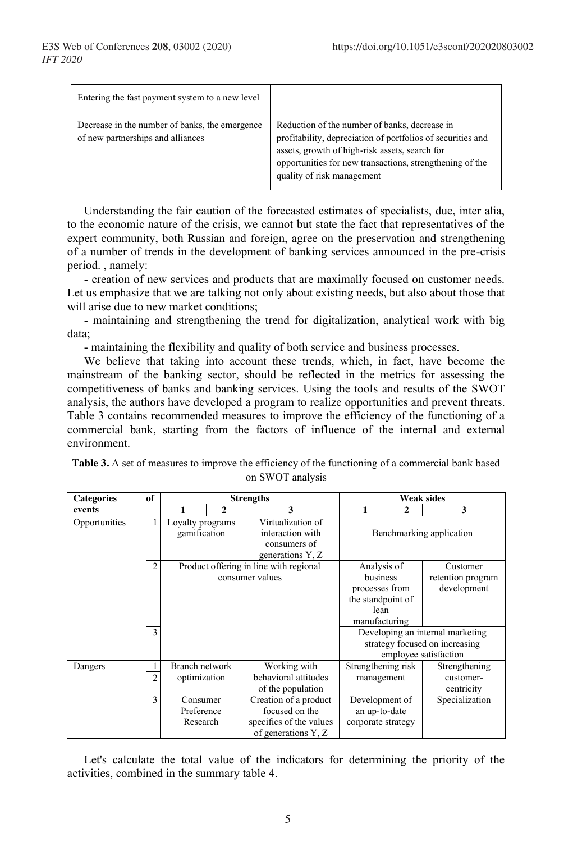| Entering the fast payment system to a new level                                     |                                                                                                                                                                                                                                                          |
|-------------------------------------------------------------------------------------|----------------------------------------------------------------------------------------------------------------------------------------------------------------------------------------------------------------------------------------------------------|
| Decrease in the number of banks, the emergence<br>of new partnerships and alliances | Reduction of the number of banks, decrease in<br>profitability, depreciation of portfolios of securities and<br>assets, growth of high-risk assets, search for<br>opportunities for new transactions, strengthening of the<br>quality of risk management |

Understanding the fair caution of the forecasted estimates of specialists, due, inter alia, to the economic nature of the crisis, we cannot but state the fact that representatives of the expert community, both Russian and foreign, agree on the preservation and strengthening of a number of trends in the development of banking services announced in the pre-crisis period. , namely:

- creation of new services and products that are maximally focused on customer needs. Let us emphasize that we are talking not only about existing needs, but also about those that will arise due to new market conditions;

- maintaining and strengthening the trend for digitalization, analytical work with big data;

- maintaining the flexibility and quality of both service and business processes.

We believe that taking into account these trends, which, in fact, have become the mainstream of the banking sector, should be reflected in the metrics for assessing the competitiveness of banks and banking services. Using the tools and results of the SWOT analysis, the authors have developed a program to realize opportunities and prevent threats. Table 3 contains recommended measures to improve the efficiency of the functioning of a commercial bank, starting from the factors of influence of the internal and external environment.

| <b>Categories</b> | of             | <b>Strengths</b> |   |                                        |                    | <b>Weak sides</b>                |                          |
|-------------------|----------------|------------------|---|----------------------------------------|--------------------|----------------------------------|--------------------------|
| events            |                |                  | 2 | 3                                      | 1                  | 2                                | 3                        |
| Opportunities     |                | Loyalty programs |   | Virtualization of                      |                    |                                  |                          |
|                   |                | gamification     |   | interaction with                       |                    |                                  | Benchmarking application |
|                   |                |                  |   | consumers of                           |                    |                                  |                          |
|                   |                |                  |   | generations Y, Z                       |                    |                                  |                          |
|                   | 2              |                  |   | Product offering in line with regional | Analysis of        |                                  | Customer                 |
|                   |                |                  |   | consumer values                        | business           |                                  | retention program        |
|                   |                |                  |   |                                        | processes from     |                                  | development              |
|                   |                |                  |   |                                        | the standpoint of  |                                  |                          |
|                   |                |                  |   | lean                                   |                    |                                  |                          |
|                   |                |                  |   |                                        | manufacturing      |                                  |                          |
|                   | 3              |                  |   |                                        |                    | Developing an internal marketing |                          |
|                   |                |                  |   |                                        |                    | strategy focused on increasing   |                          |
|                   |                |                  |   |                                        |                    |                                  | employee satisfaction    |
| Dangers           |                | Branch network   |   | Working with                           | Strengthening risk |                                  | Strengthening            |
|                   | $\overline{c}$ | optimization     |   | behavioral attitudes                   | management         |                                  | customer-                |
|                   |                |                  |   | of the population                      |                    |                                  | centricity               |
|                   | 3              | Consumer         |   | Creation of a product                  | Development of     |                                  | Specialization           |
|                   |                | Preference       |   | focused on the                         | an up-to-date      |                                  |                          |
|                   |                | Research         |   | specifics of the values                | corporate strategy |                                  |                          |
|                   |                |                  |   | of generations Y, Z                    |                    |                                  |                          |

**Table 3.** A set of measures to improve the efficiency of the functioning of a commercial bank based on SWOT analysis

Let's calculate the total value of the indicators for determining the priority of the activities, combined in the summary table 4.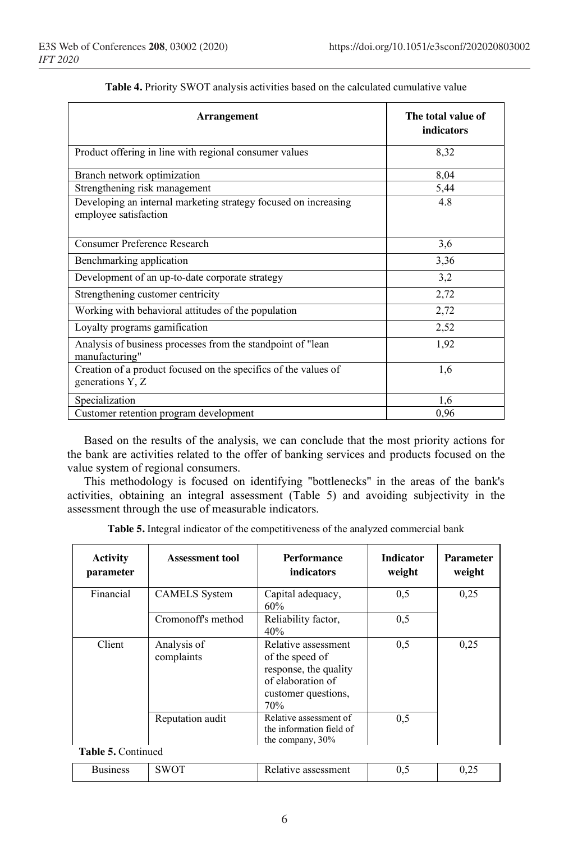| <b>Arrangement</b>                                                                       | The total value of<br>indicators |
|------------------------------------------------------------------------------------------|----------------------------------|
| Product offering in line with regional consumer values                                   | 8,32                             |
| Branch network optimization                                                              | 8,04                             |
| Strengthening risk management                                                            | 5,44                             |
| Developing an internal marketing strategy focused on increasing<br>employee satisfaction | 4.8                              |
| <b>Consumer Preference Research</b>                                                      | 3,6                              |
| Benchmarking application                                                                 | 3,36                             |
| Development of an up-to-date corporate strategy                                          | 3,2                              |
| Strengthening customer centricity                                                        | 2,72                             |
| Working with behavioral attitudes of the population                                      | 2,72                             |
| Loyalty programs gamification                                                            | 2,52                             |
| Analysis of business processes from the standpoint of "lean<br>manufacturing"            | 1,92                             |
| Creation of a product focused on the specifics of the values of<br>generations Y, Z      | 1,6                              |
| Specialization                                                                           | 1,6                              |
| Customer retention program development                                                   | 0,96                             |

| Table 4. Priority SWOT analysis activities based on the calculated cumulative value |  |  |  |
|-------------------------------------------------------------------------------------|--|--|--|
|-------------------------------------------------------------------------------------|--|--|--|

Based on the results of the analysis, we can conclude that the most priority actions for the bank are activities related to the offer of banking services and products focused on the value system of regional consumers.

This methodology is focused on identifying "bottlenecks" in the areas of the bank's activities, obtaining an integral assessment (Table 5) and avoiding subjectivity in the assessment through the use of measurable indicators.

|  |  | Table 5. Integral indicator of the competitiveness of the analyzed commercial bank |
|--|--|------------------------------------------------------------------------------------|
|--|--|------------------------------------------------------------------------------------|

| <b>Activity</b><br>parameter | <b>Assessment tool</b>    | Performance<br>indicators                                                                                          | <b>Indicator</b><br>weight | <b>Parameter</b><br>weight |
|------------------------------|---------------------------|--------------------------------------------------------------------------------------------------------------------|----------------------------|----------------------------|
| Financial                    | <b>CAMELS</b> System      | Capital adequacy,<br>60%                                                                                           | 0,5                        | 0.25                       |
|                              | Cromonoff's method        | Reliability factor,<br>40%                                                                                         | 0,5                        |                            |
| Client                       | Analysis of<br>complaints | Relative assessment<br>of the speed of<br>response, the quality<br>of elaboration of<br>customer questions,<br>70% | 0,5                        | 0,25                       |
| <b>Table 5. Continued</b>    | Reputation audit          | Relative assessment of<br>the information field of<br>the company, 30%                                             | 0,5                        |                            |

| Business | SWOT<br>ຼ<br>∼ | T.<br>assessment<br>Relative | ັັ | $\sim$<br>$v_{1} \omega$ |
|----------|----------------|------------------------------|----|--------------------------|
|----------|----------------|------------------------------|----|--------------------------|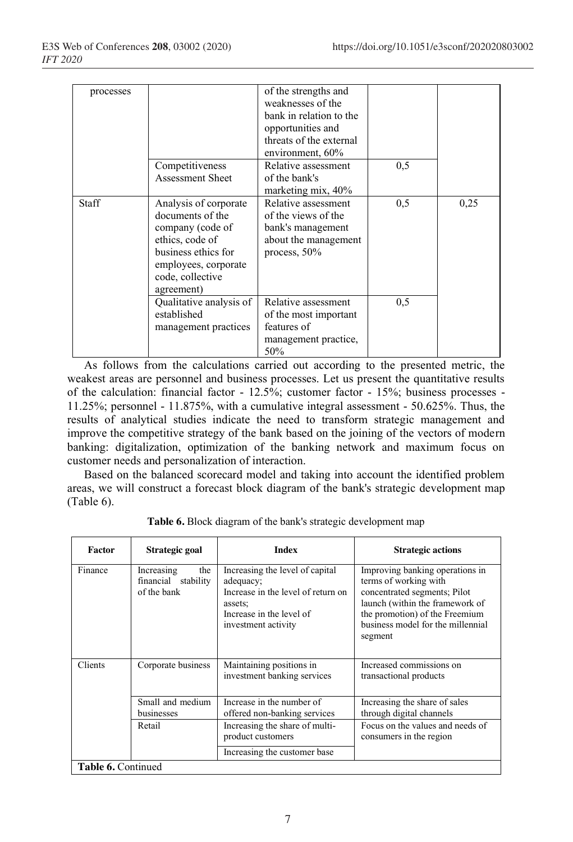| processes |                                                                                                                                                                   | of the strengths and<br>weaknesses of the<br>bank in relation to the<br>opportunities and<br>threats of the external<br>environment, 60% |     |      |
|-----------|-------------------------------------------------------------------------------------------------------------------------------------------------------------------|------------------------------------------------------------------------------------------------------------------------------------------|-----|------|
|           | Competitiveness<br><b>Assessment Sheet</b>                                                                                                                        | Relative assessment<br>of the bank's<br>marketing mix, 40%                                                                               | 0,5 |      |
| Staff     | Analysis of corporate<br>documents of the<br>company (code of<br>ethics, code of<br>business ethics for<br>employees, corporate<br>code, collective<br>agreement) | Relative assessment<br>of the views of the<br>bank's management<br>about the management<br>process, $50\%$                               | 0,5 | 0.25 |
|           | Qualitative analysis of<br>established<br>management practices                                                                                                    | Relative assessment<br>of the most important<br>features of<br>management practice,<br>50%                                               | 0,5 |      |

As follows from the calculations carried out according to the presented metric, the weakest areas are personnel and business processes. Let us present the quantitative results of the calculation: financial factor - 12.5%; customer factor - 15%; business processes - 11.25%; personnel - 11.875%, with a cumulative integral assessment - 50.625%. Thus, the results of analytical studies indicate the need to transform strategic management and improve the competitive strategy of the bank based on the joining of the vectors of modern banking: digitalization, optimization of the banking network and maximum focus on customer needs and personalization of interaction.

Based on the balanced scorecard model and taking into account the identified problem areas, we will construct a forecast block diagram of the bank's strategic development map (Table 6).

| Factor             | Strategic goal                                             | <b>Index</b>                                                                                                                                     | <b>Strategic actions</b>                                                                                                                                                                                      |  |
|--------------------|------------------------------------------------------------|--------------------------------------------------------------------------------------------------------------------------------------------------|---------------------------------------------------------------------------------------------------------------------------------------------------------------------------------------------------------------|--|
| Finance            | Increasing<br>the<br>financial<br>stability<br>of the bank | Increasing the level of capital<br>adequacy;<br>Increase in the level of return on<br>assets:<br>Increase in the level of<br>investment activity | Improving banking operations in<br>terms of working with<br>concentrated segments; Pilot<br>launch (within the framework of<br>the promotion) of the Freemium<br>business model for the millennial<br>segment |  |
| Clients            | Corporate business                                         | Maintaining positions in<br>investment banking services                                                                                          | Increased commissions on<br>transactional products                                                                                                                                                            |  |
|                    | Small and medium<br>businesses                             | Increase in the number of<br>offered non-banking services                                                                                        | Increasing the share of sales<br>through digital channels                                                                                                                                                     |  |
|                    | Retail                                                     | Increasing the share of multi-<br>product customers                                                                                              | Focus on the values and needs of<br>consumers in the region                                                                                                                                                   |  |
|                    |                                                            | Increasing the customer base                                                                                                                     |                                                                                                                                                                                                               |  |
| Table 6. Continued |                                                            |                                                                                                                                                  |                                                                                                                                                                                                               |  |

**Table 6.** Block diagram of the bank's strategic development map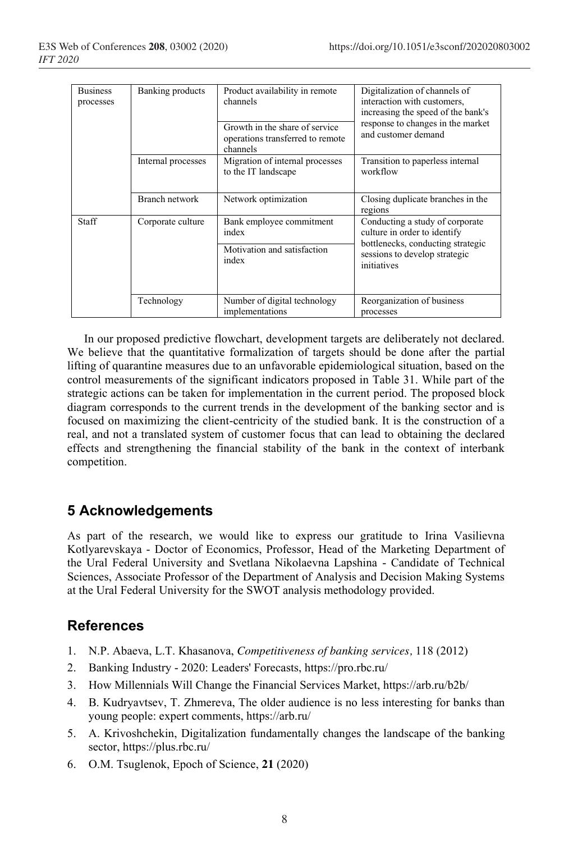| <b>Business</b><br>processes | Banking products   | Product availability in remote<br>channels<br>Growth in the share of service<br>operations transferred to remote<br>channels | Digitalization of channels of<br>interaction with customers,<br>increasing the speed of the bank's<br>response to changes in the market<br>and customer demand |
|------------------------------|--------------------|------------------------------------------------------------------------------------------------------------------------------|----------------------------------------------------------------------------------------------------------------------------------------------------------------|
|                              | Internal processes | Migration of internal processes<br>to the IT landscape                                                                       | Transition to paperless internal<br>workflow                                                                                                                   |
|                              | Branch network     | Network optimization                                                                                                         | Closing duplicate branches in the<br>regions                                                                                                                   |
| Staff                        | Corporate culture  | Bank employee commitment<br>index<br>Motivation and satisfaction<br>index                                                    | Conducting a study of corporate<br>culture in order to identify<br>bottlenecks, conducting strategic<br>sessions to develop strategic<br>initiatives           |
|                              | Technology         | Number of digital technology<br>implementations                                                                              | Reorganization of business<br>processes                                                                                                                        |

In our proposed predictive flowchart, development targets are deliberately not declared. We believe that the quantitative formalization of targets should be done after the partial lifting of quarantine measures due to an unfavorable epidemiological situation, based on the control measurements of the significant indicators proposed in Table 31. While part of the strategic actions can be taken for implementation in the current period. The proposed block diagram corresponds to the current trends in the development of the banking sector and is focused on maximizing the client-centricity of the studied bank. It is the construction of a real, and not a translated system of customer focus that can lead to obtaining the declared effects and strengthening the financial stability of the bank in the context of interbank competition.

## **5 Acknowledgements**

As part of the research, we would like to express our gratitude to Irina Vasilievna Kotlyarevskaya - Doctor of Economics, Professor, Head of the Marketing Department of the Ural Federal University and Svetlana Nikolaevna Lapshina - Candidate of Technical Sciences, Associate Professor of the Department of Analysis and Decision Making Systems at the Ural Federal University for the SWOT analysis methodology provided.

## **References**

- 1. N.P. Abaeva, L.T. Khasanova, *Competitiveness of banking services,* 118 (2012)
- 2. Banking Industry 2020: Leaders' Forecasts, https://pro.rbc.ru/
- 3. How Millennials Will Change the Financial Services Market, https://arb.ru/b2b/
- 4. B. Kudryavtsev, T. Zhmereva, The older audience is no less interesting for banks than young people: expert comments, https://arb.ru/
- 5. A. Krivoshchekin, Digitalization fundamentally changes the landscape of the banking sector, https://plus.rbc.ru/
- 6. O.M. Tsuglenok, Epoch of Science, **21** (2020)